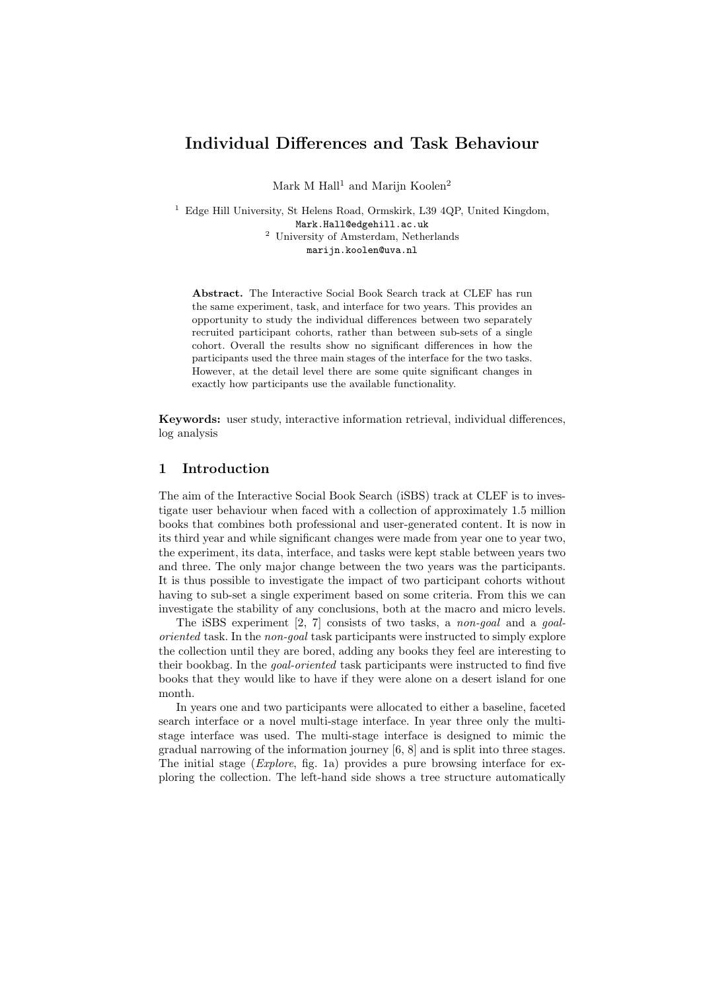# Individual Differences and Task Behaviour

Mark M Hall<sup>1</sup> and Marijn Koolen<sup>2</sup>

<sup>1</sup> Edge Hill University, St Helens Road, Ormskirk, L39 4QP, United Kingdom, Mark.Hall@edgehill.ac.uk <sup>2</sup> University of Amsterdam, Netherlands marijn.koolen@uva.nl

Abstract. The Interactive Social Book Search track at CLEF has run the same experiment, task, and interface for two years. This provides an opportunity to study the individual differences between two separately recruited participant cohorts, rather than between sub-sets of a single cohort. Overall the results show no significant differences in how the participants used the three main stages of the interface for the two tasks. However, at the detail level there are some quite significant changes in exactly how participants use the available functionality.

Keywords: user study, interactive information retrieval, individual differences, log analysis

# 1 Introduction

The aim of the Interactive Social Book Search (iSBS) track at CLEF is to investigate user behaviour when faced with a collection of approximately 1.5 million books that combines both professional and user-generated content. It is now in its third year and while significant changes were made from year one to year two, the experiment, its data, interface, and tasks were kept stable between years two and three. The only major change between the two years was the participants. It is thus possible to investigate the impact of two participant cohorts without having to sub-set a single experiment based on some criteria. From this we can investigate the stability of any conclusions, both at the macro and micro levels.

The iSBS experiment [2, 7] consists of two tasks, a non-goal and a goaloriented task. In the non-goal task participants were instructed to simply explore the collection until they are bored, adding any books they feel are interesting to their bookbag. In the goal-oriented task participants were instructed to find five books that they would like to have if they were alone on a desert island for one month.

In years one and two participants were allocated to either a baseline, faceted search interface or a novel multi-stage interface. In year three only the multistage interface was used. The multi-stage interface is designed to mimic the gradual narrowing of the information journey [6, 8] and is split into three stages. The initial stage (*Explore*, fig. 1a) provides a pure browsing interface for exploring the collection. The left-hand side shows a tree structure automatically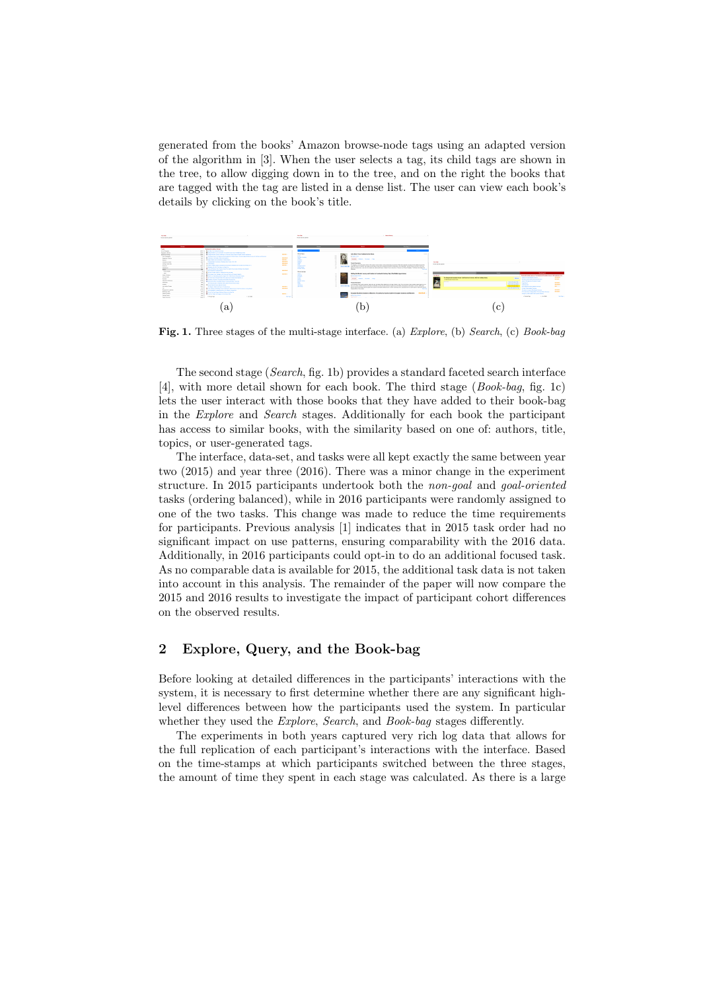generated from the books' Amazon browse-node tags using an adapted version of the algorithm in [3]. When the user selects a tag, its child tags are shown in the tree, to allow digging down in to the tree, and on the right the books that are tagged with the tag are listed in a dense list. The user can view each book's details by clicking on the book's title.



Fig. 1. Three stages of the multi-stage interface. (a) Explore, (b) Search, (c) Book-bag

The second stage (Search, fig. 1b) provides a standard faceted search interface [4], with more detail shown for each book. The third stage (Book-bag, fig. 1c) lets the user interact with those books that they have added to their book-bag in the Explore and Search stages. Additionally for each book the participant has access to similar books, with the similarity based on one of: authors, title, topics, or user-generated tags.

The interface, data-set, and tasks were all kept exactly the same between year two (2015) and year three (2016). There was a minor change in the experiment structure. In 2015 participants undertook both the non-goal and goal-oriented tasks (ordering balanced), while in 2016 participants were randomly assigned to one of the two tasks. This change was made to reduce the time requirements for participants. Previous analysis [1] indicates that in 2015 task order had no significant impact on use patterns, ensuring comparability with the 2016 data. Additionally, in 2016 participants could opt-in to do an additional focused task. As no comparable data is available for 2015, the additional task data is not taken into account in this analysis. The remainder of the paper will now compare the 2015 and 2016 results to investigate the impact of participant cohort differences on the observed results.

# 2 Explore, Query, and the Book-bag

Before looking at detailed differences in the participants' interactions with the system, it is necessary to first determine whether there are any significant highlevel differences between how the participants used the system. In particular whether they used the *Explore*, *Search*, and *Book-bag* stages differently.

The experiments in both years captured very rich log data that allows for the full replication of each participant's interactions with the interface. Based on the time-stamps at which participants switched between the three stages, the amount of time they spent in each stage was calculated. As there is a large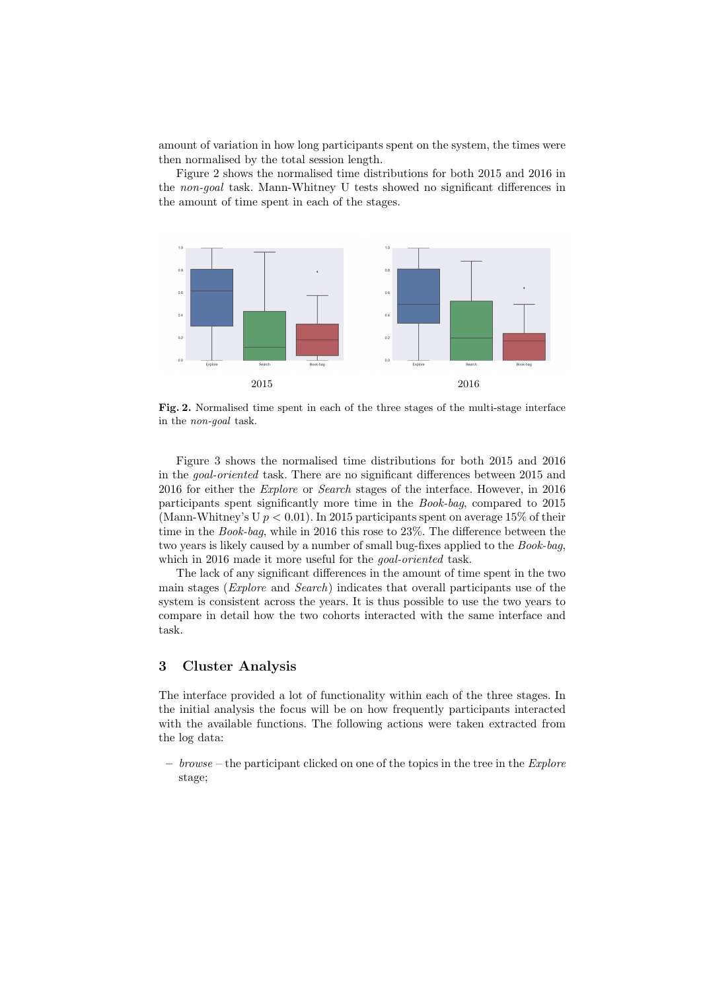amount of variation in how long participants spent on the system, the times were then normalised by the total session length.

Figure 2 shows the normalised time distributions for both 2015 and 2016 in the non-goal task. Mann-Whitney U tests showed no significant differences in the amount of time spent in each of the stages.



Fig. 2. Normalised time spent in each of the three stages of the multi-stage interface in the non-goal task.

Figure 3 shows the normalised time distributions for both 2015 and 2016 in the goal-oriented task. There are no significant differences between 2015 and 2016 for either the Explore or Search stages of the interface. However, in 2016 participants spent significantly more time in the Book-bag, compared to 2015 (Mann-Whitney's U  $p < 0.01$ ). In 2015 participants spent on average 15% of their time in the *Book-bag*, while in 2016 this rose to 23%. The difference between the two years is likely caused by a number of small bug-fixes applied to the Book-bag, which in 2016 made it more useful for the *goal-oriented* task.

The lack of any significant differences in the amount of time spent in the two main stages (Explore and Search) indicates that overall participants use of the system is consistent across the years. It is thus possible to use the two years to compare in detail how the two cohorts interacted with the same interface and task.

# 3 Cluster Analysis

The interface provided a lot of functionality within each of the three stages. In the initial analysis the focus will be on how frequently participants interacted with the available functions. The following actions were taken extracted from the log data:

 $-$  browse – the participant clicked on one of the topics in the tree in the *Explore* stage;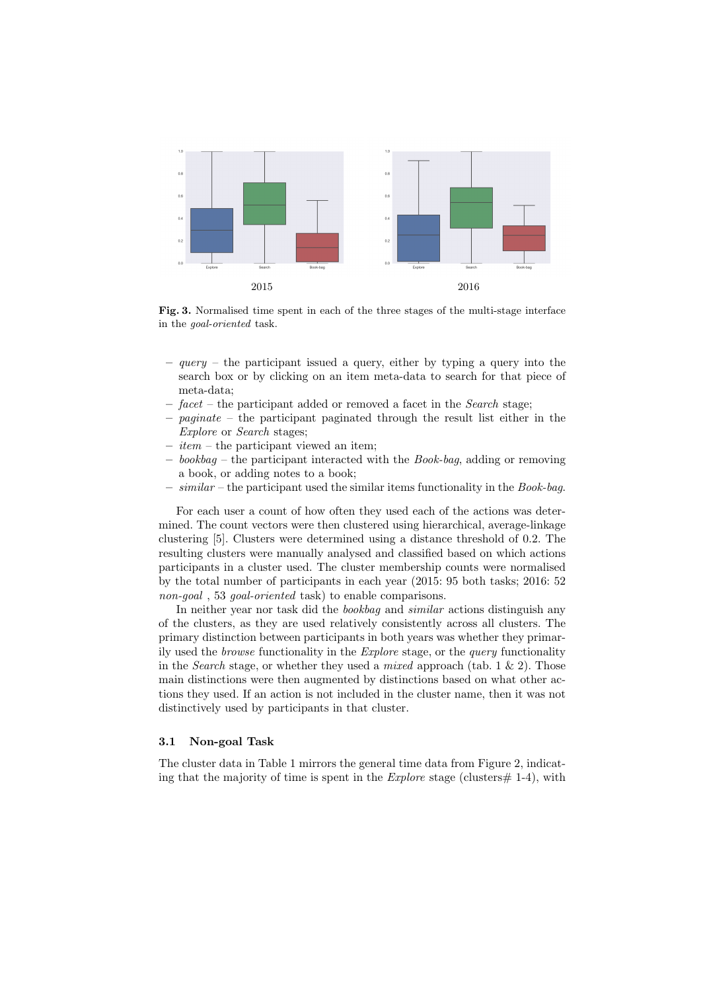

Fig. 3. Normalised time spent in each of the three stages of the multi-stage interface in the goal-oriented task.

- $query -$  the participant issued a query, either by typing a query into the search box or by clicking on an item meta-data to search for that piece of meta-data;
- $-$  facet the participant added or removed a facet in the *Search* stage;
- paginate the participant paginated through the result list either in the Explore or Search stages;
- $-$  *item* the participant viewed an item;
- $-$  bookbag the participant interacted with the Book-bag, adding or removing a book, or adding notes to a book;
- $similar$  the participant used the similar items functionality in the *Book-bag*.

For each user a count of how often they used each of the actions was determined. The count vectors were then clustered using hierarchical, average-linkage clustering [5]. Clusters were determined using a distance threshold of 0.2. The resulting clusters were manually analysed and classified based on which actions participants in a cluster used. The cluster membership counts were normalised by the total number of participants in each year (2015: 95 both tasks; 2016: 52 non-goal, 53 goal-oriented task) to enable comparisons.

In neither year nor task did the *bookbag* and *similar* actions distinguish any of the clusters, as they are used relatively consistently across all clusters. The primary distinction between participants in both years was whether they primarily used the browse functionality in the Explore stage, or the query functionality in the *Search* stage, or whether they used a *mixed* approach (tab. 1  $\&$  2). Those main distinctions were then augmented by distinctions based on what other actions they used. If an action is not included in the cluster name, then it was not distinctively used by participants in that cluster.

#### 3.1 Non-goal Task

The cluster data in Table 1 mirrors the general time data from Figure 2, indicating that the majority of time is spent in the  $Explore$  stage (clusters  $\#$  1-4), with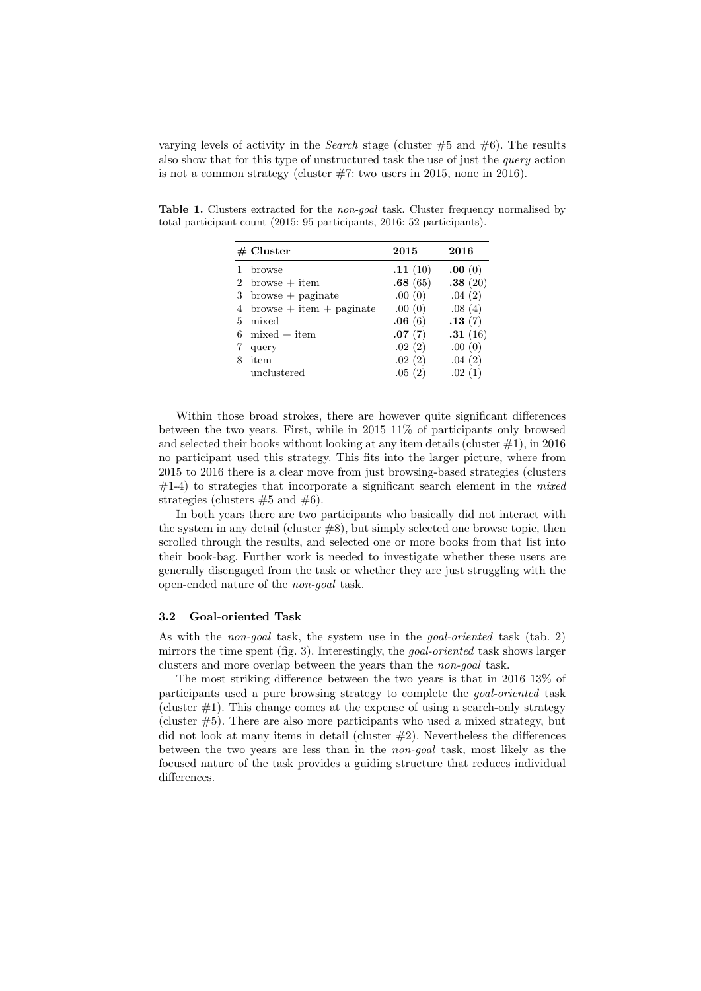varying levels of activity in the *Search* stage (cluster  $#5$  and  $#6$ ). The results also show that for this type of unstructured task the use of just the query action is not a common strategy (cluster  $#7$ : two users in 2015, none in 2016).

Table 1. Clusters extracted for the non-goal task. Cluster frequency normalised by total participant count (2015: 95 participants, 2016: 52 participants).

|    | $#$ Cluster                 | 2015    | 2016    |
|----|-----------------------------|---------|---------|
|    | browse                      | .11(10) | .00(0)  |
|    | 2 browse $+$ item           | .68(65) | .38(20) |
|    | $3\;$ browse $+$ paginate   | .00(0)  | .04(2)  |
| 4  | $b$ rowse + item + paginate | .00(0)  | .08(4)  |
| 5. | mixed                       | .06(6)  | .13(7)  |
| 6  | $mixed + item$              | .07(7)  | .31(16) |
|    | query                       | .02(2)  | .00(0)  |
| 8  | item                        | .02(2)  | .04(2)  |
|    | unclustered                 | .05(2)  | .02(1)  |

Within those broad strokes, there are however quite significant differences between the two years. First, while in 2015 11% of participants only browsed and selected their books without looking at any item details (cluster  $\#1$ ), in 2016 no participant used this strategy. This fits into the larger picture, where from 2015 to 2016 there is a clear move from just browsing-based strategies (clusters  $#1-4$ ) to strategies that incorporate a significant search element in the *mixed* strategies (clusters  $#5$  and  $#6$ ).

In both years there are two participants who basically did not interact with the system in any detail (cluster  $#8$ ), but simply selected one browse topic, then scrolled through the results, and selected one or more books from that list into their book-bag. Further work is needed to investigate whether these users are generally disengaged from the task or whether they are just struggling with the open-ended nature of the non-goal task.

#### 3.2 Goal-oriented Task

As with the *non-goal* task, the system use in the *goal-oriented* task (tab. 2) mirrors the time spent (fig. 3). Interestingly, the goal-oriented task shows larger clusters and more overlap between the years than the non-goal task.

The most striking difference between the two years is that in 2016 13% of participants used a pure browsing strategy to complete the goal-oriented task (cluster  $\#1$ ). This change comes at the expense of using a search-only strategy (cluster #5). There are also more participants who used a mixed strategy, but did not look at many items in detail (cluster  $#2$ ). Nevertheless the differences between the two years are less than in the non-goal task, most likely as the focused nature of the task provides a guiding structure that reduces individual differences.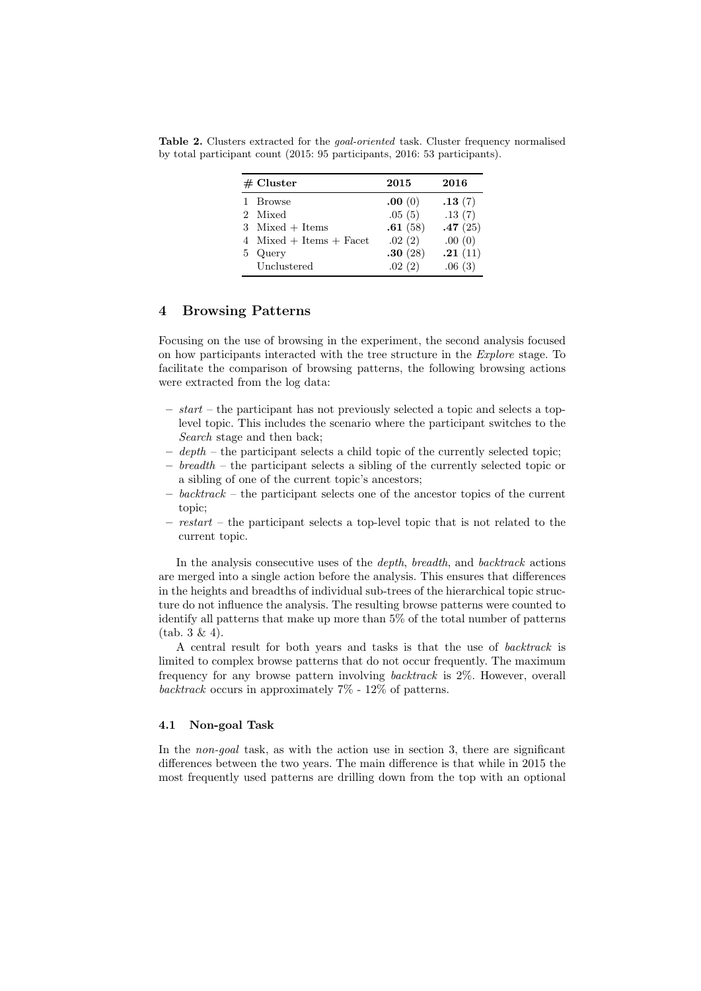| $#$ Cluster |                             | 2015    | 2016    |
|-------------|-----------------------------|---------|---------|
|             | 1 Browse                    | .00(0)  | .13(7)  |
|             | 2 Mixed                     | .05(5)  | .13(7)  |
|             | 3 Mixed + Items             | .61(58) | .47(25) |
|             | 4 Mixed $+$ Items $+$ Facet | .02(2)  | .00(0)  |
|             | 5 Query                     | .30(28) | .21(11) |
|             | Unclustered                 | .02(2)  | .06(3)  |

Table 2. Clusters extracted for the goal-oriented task. Cluster frequency normalised by total participant count (2015: 95 participants, 2016: 53 participants).

# 4 Browsing Patterns

Focusing on the use of browsing in the experiment, the second analysis focused on how participants interacted with the tree structure in the Explore stage. To facilitate the comparison of browsing patterns, the following browsing actions were extracted from the log data:

- $-$  start the participant has not previously selected a topic and selects a toplevel topic. This includes the scenario where the participant switches to the Search stage and then back;
- $-$  depth the participant selects a child topic of the currently selected topic;
- breadth the participant selects a sibling of the currently selected topic or a sibling of one of the current topic's ancestors;
- $-$  backtrack the participant selects one of the ancestor topics of the current topic;
- $-$  restart the participant selects a top-level topic that is not related to the current topic.

In the analysis consecutive uses of the depth, breadth, and backtrack actions are merged into a single action before the analysis. This ensures that differences in the heights and breadths of individual sub-trees of the hierarchical topic structure do not influence the analysis. The resulting browse patterns were counted to identify all patterns that make up more than 5% of the total number of patterns (tab. 3 & 4).

A central result for both years and tasks is that the use of backtrack is limited to complex browse patterns that do not occur frequently. The maximum frequency for any browse pattern involving backtrack is 2%. However, overall backtrack occurs in approximately  $7\%$  -  $12\%$  of patterns.

#### 4.1 Non-goal Task

In the *non-goal* task, as with the action use in section 3, there are significant differences between the two years. The main difference is that while in 2015 the most frequently used patterns are drilling down from the top with an optional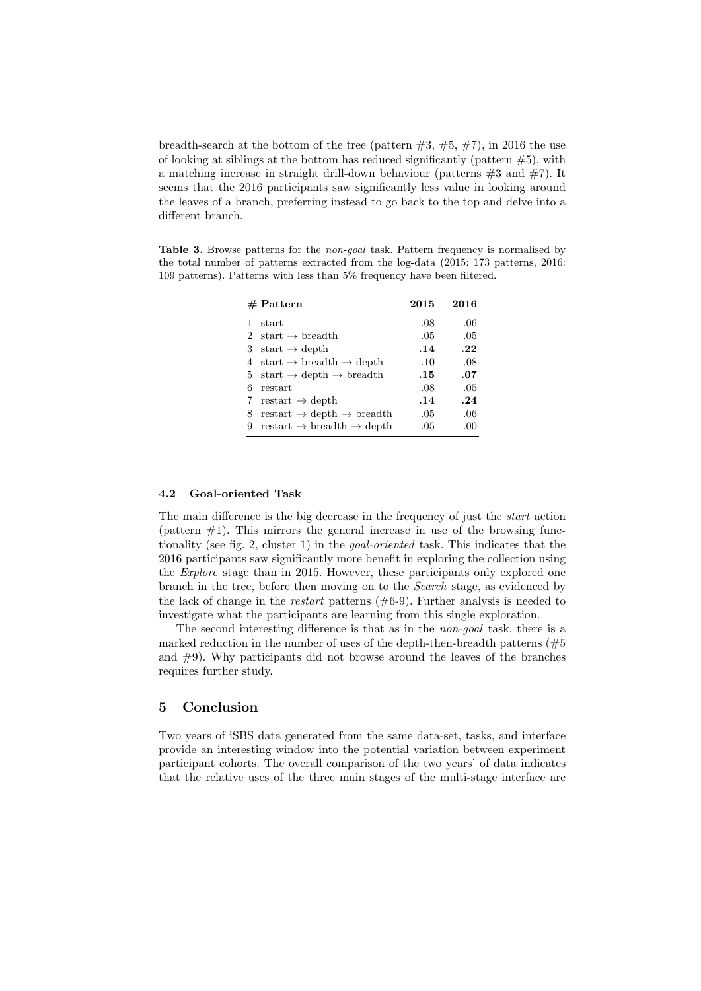breadth-search at the bottom of the tree (pattern  $\#3, \#5, \#7$ ), in 2016 the use of looking at siblings at the bottom has reduced significantly (pattern  $#5$ ), with a matching increase in straight drill-down behaviour (patterns  $#3$  and  $#7$ ). It seems that the 2016 participants saw significantly less value in looking around the leaves of a branch, preferring instead to go back to the top and delve into a different branch.

Table 3. Browse patterns for the non-goal task. Pattern frequency is normalised by the total number of patterns extracted from the log-data (2015: 173 patterns, 2016: 109 patterns). Patterns with less than 5% frequency have been filtered.

|   | $#$ Pattern                                       | 2015 | 2016 |
|---|---------------------------------------------------|------|------|
|   | start                                             | .08  | .06  |
|   | 2 start $\rightarrow$ breadth                     | .05  | .05  |
| 3 | start $\rightarrow$ depth                         | .14  | .22  |
|   | 4 start $\rightarrow$ breadth $\rightarrow$ depth | .10  | .08  |
|   | 5 start $\rightarrow$ depth $\rightarrow$ breadth | .15  | .07  |
| 6 | restart                                           | .08  | .05  |
| 7 | restart $\rightarrow$ depth                       | .14  | .24  |
| 8 | restart $\rightarrow$ depth $\rightarrow$ breadth | .05  | .06  |
| 9 | restart $\rightarrow$ breadth $\rightarrow$ depth | .05  | .00  |

## 4.2 Goal-oriented Task

The main difference is the big decrease in the frequency of just the start action (pattern  $#1$ ). This mirrors the general increase in use of the browsing functionality (see fig. 2, cluster 1) in the goal-oriented task. This indicates that the 2016 participants saw significantly more benefit in exploring the collection using the Explore stage than in 2015. However, these participants only explored one branch in the tree, before then moving on to the Search stage, as evidenced by the lack of change in the *restart* patterns  $(\#6-9)$ . Further analysis is needed to investigate what the participants are learning from this single exploration.

The second interesting difference is that as in the non-goal task, there is a marked reduction in the number of uses of the depth-then-breadth patterns  $(\#5)$ and #9). Why participants did not browse around the leaves of the branches requires further study.

#### 5 Conclusion

Two years of iSBS data generated from the same data-set, tasks, and interface provide an interesting window into the potential variation between experiment participant cohorts. The overall comparison of the two years' of data indicates that the relative uses of the three main stages of the multi-stage interface are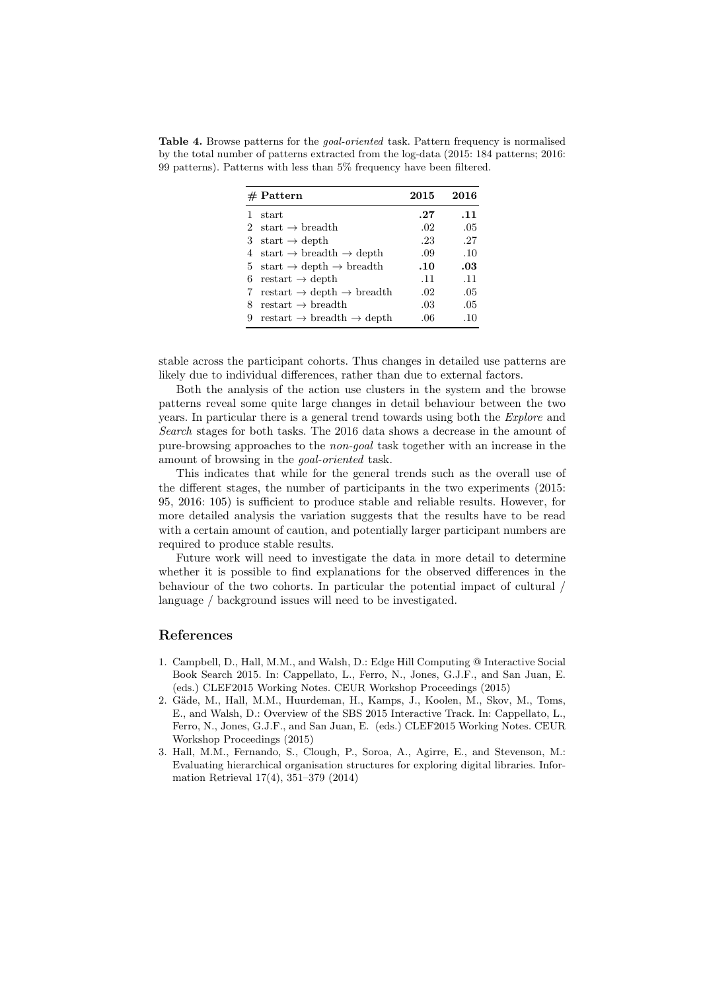Table 4. Browse patterns for the *goal-oriented* task. Pattern frequency is normalised by the total number of patterns extracted from the log-data (2015: 184 patterns; 2016: 99 patterns). Patterns with less than 5% frequency have been filtered.

|   | $#$ Pattern                                                          | 2015 | 2016 |
|---|----------------------------------------------------------------------|------|------|
|   | start                                                                | .27  | .11  |
|   | 2 start $\rightarrow$ breadth                                        | .02  | .05  |
|   | 3 start $\rightarrow$ depth                                          | .23  | .27  |
|   | 4 start $\rightarrow$ breadth $\rightarrow$ depth                    | .09  | .10  |
|   | 5 start $\rightarrow$ depth $\rightarrow$ breadth                    | .10  | .03  |
|   | 6 restart $\rightarrow$ depth                                        | .11  | .11  |
| 7 | $restart \rightarrow depth \rightarrow breadth$                      | .02  | .05  |
| 8 | restart $\rightarrow$ breadth                                        | .03  | .05  |
| 9 | $\text{restart} \rightarrow \text{breadth} \rightarrow \text{depth}$ | .06  | .10  |
|   |                                                                      |      |      |

stable across the participant cohorts. Thus changes in detailed use patterns are likely due to individual differences, rather than due to external factors.

Both the analysis of the action use clusters in the system and the browse patterns reveal some quite large changes in detail behaviour between the two years. In particular there is a general trend towards using both the Explore and Search stages for both tasks. The 2016 data shows a decrease in the amount of pure-browsing approaches to the non-goal task together with an increase in the amount of browsing in the goal-oriented task.

This indicates that while for the general trends such as the overall use of the different stages, the number of participants in the two experiments (2015: 95, 2016: 105) is sufficient to produce stable and reliable results. However, for more detailed analysis the variation suggests that the results have to be read with a certain amount of caution, and potentially larger participant numbers are required to produce stable results.

Future work will need to investigate the data in more detail to determine whether it is possible to find explanations for the observed differences in the behaviour of the two cohorts. In particular the potential impact of cultural / language / background issues will need to be investigated.

## References

- 1. Campbell, D., Hall, M.M., and Walsh, D.: Edge Hill Computing @ Interactive Social Book Search 2015. In: Cappellato, L., Ferro, N., Jones, G.J.F., and San Juan, E. (eds.) CLEF2015 Working Notes. CEUR Workshop Proceedings (2015)
- 2. Gäde, M., Hall, M.M., Huurdeman, H., Kamps, J., Koolen, M., Skov, M., Toms, E., and Walsh, D.: Overview of the SBS 2015 Interactive Track. In: Cappellato, L., Ferro, N., Jones, G.J.F., and San Juan, E. (eds.) CLEF2015 Working Notes. CEUR Workshop Proceedings (2015)
- 3. Hall, M.M., Fernando, S., Clough, P., Soroa, A., Agirre, E., and Stevenson, M.: Evaluating hierarchical organisation structures for exploring digital libraries. Information Retrieval 17(4), 351–379 (2014)